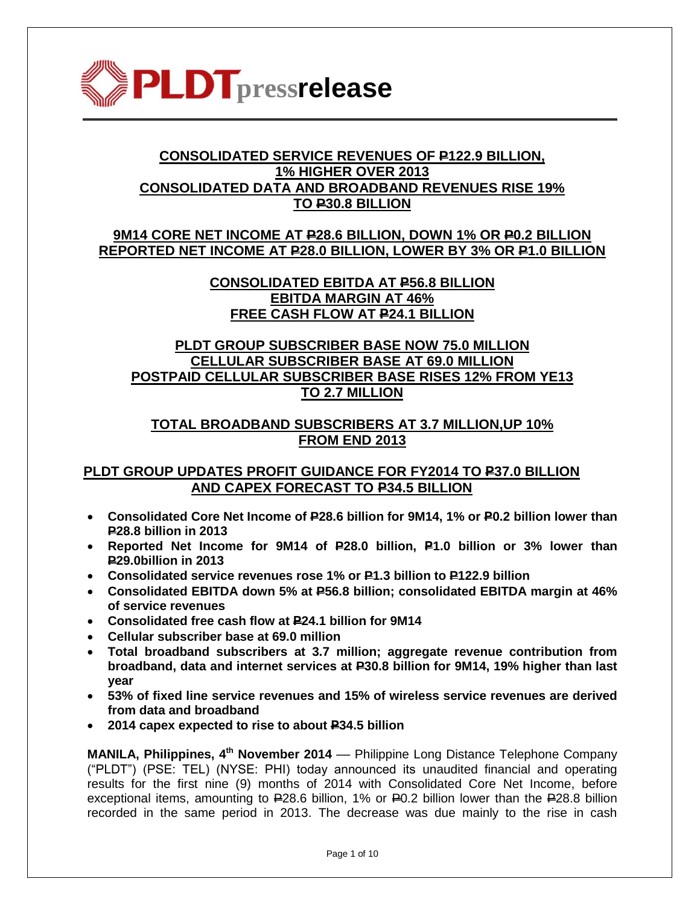

# **CONSOLIDATED SERVICE REVENUES OF P122.9 BILLION, 1% HIGHER OVER 2013 CONSOLIDATED DATA AND BROADBAND REVENUES RISE 19% TO P30.8 BILLION**

## **9M14 CORE NET INCOME AT P28.6 BILLION, DOWN 1% OR P0.2 BILLION REPORTED NET INCOME AT P28.0 BILLION, LOWER BY 3% OR P1.0 BILLION**

# **CONSOLIDATED EBITDA AT P56.8 BILLION EBITDA MARGIN AT 46% FREE CASH FLOW AT P24.1 BILLION**

# **PLDT GROUP SUBSCRIBER BASE NOW 75.0 MILLION CELLULAR SUBSCRIBER BASE AT 69.0 MILLION POSTPAID CELLULAR SUBSCRIBER BASE RISES 12% FROM YE13 TO 2.7 MILLION**

# **TOTAL BROADBAND SUBSCRIBERS AT 3.7 MILLION,UP 10% FROM END 2013**

## **PLDT GROUP UPDATES PROFIT GUIDANCE FOR FY2014 TO P37.0 BILLION AND CAPEX FORECAST TO P34.5 BILLION**

- **Consolidated Core Net Income of P28.6 billion for 9M14, 1% or P0.2 billion lower than P28.8 billion in 2013**
- **Reported Net Income for 9M14 of P28.0 billion, P1.0 billion or 3% lower than P29.0billion in 2013**
- **Consolidated service revenues rose 1% or P1.3 billion to P122.9 billion**
- **Consolidated EBITDA down 5% at P56.8 billion; consolidated EBITDA margin at 46% of service revenues**
- **Consolidated free cash flow at P24.1 billion for 9M14**
- **Cellular subscriber base at 69.0 million**
- **Total broadband subscribers at 3.7 million; aggregate revenue contribution from broadband, data and internet services at P30.8 billion for 9M14, 19% higher than last year**
- **53% of fixed line service revenues and 15% of wireless service revenues are derived from data and broadband**
- **2014 capex expected to rise to about P34.5 billion**

**MANILA, Philippines, 4<sup>th</sup> November 2014** — Philippine Long Distance Telephone Company ("PLDT") (PSE: TEL) (NYSE: PHI) today announced its unaudited financial and operating results for the first nine (9) months of 2014 with Consolidated Core Net Income, before exceptional items, amounting to P28.6 billion, 1% or P0.2 billion lower than the P28.8 billion recorded in the same period in 2013. The decrease was due mainly to the rise in cash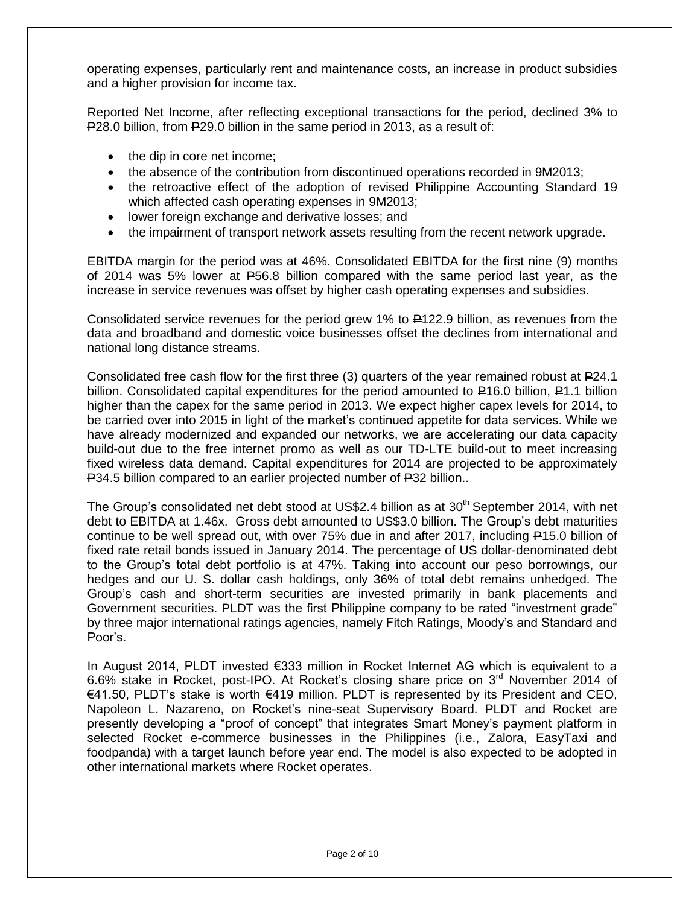operating expenses, particularly rent and maintenance costs, an increase in product subsidies and a higher provision for income tax.

Reported Net Income, after reflecting exceptional transactions for the period, declined 3% to P28.0 billion, from P29.0 billion in the same period in 2013, as a result of:

- the dip in core net income;
- the absence of the contribution from discontinued operations recorded in 9M2013;
- the retroactive effect of the adoption of revised Philippine Accounting Standard 19 which affected cash operating expenses in 9M2013;
- lower foreign exchange and derivative losses; and
- the impairment of transport network assets resulting from the recent network upgrade.

EBITDA margin for the period was at 46%. Consolidated EBITDA for the first nine (9) months of 2014 was 5% lower at  $E$ 56.8 billion compared with the same period last year, as the increase in service revenues was offset by higher cash operating expenses and subsidies.

Consolidated service revenues for the period grew 1% to P122.9 billion, as revenues from the data and broadband and domestic voice businesses offset the declines from international and national long distance streams.

Consolidated free cash flow for the first three (3) quarters of the year remained robust at  $E$ 24.1 billion. Consolidated capital expenditures for the period amounted to  $\textsf{\textbf{P}}16.0$  billion,  $\textsf{\textbf{P}}1.1$  billion higher than the capex for the same period in 2013. We expect higher capex levels for 2014, to be carried over into 2015 in light of the market"s continued appetite for data services. While we have already modernized and expanded our networks, we are accelerating our data capacity build-out due to the free internet promo as well as our TD-LTE build-out to meet increasing fixed wireless data demand. Capital expenditures for 2014 are projected to be approximately P34.5 billion compared to an earlier projected number of P32 billion..

The Group's consolidated net debt stood at US\$2.4 billion as at  $30<sup>th</sup>$  September 2014, with net debt to EBITDA at 1.46x. Gross debt amounted to US\$3.0 billion. The Group"s debt maturities continue to be well spread out, with over  $75\%$  due in and after 2017, including  $\equiv$ 15.0 billion of fixed rate retail bonds issued in January 2014. The percentage of US dollar-denominated debt to the Group's total debt portfolio is at 47%. Taking into account our peso borrowings, our hedges and our U. S. dollar cash holdings, only 36% of total debt remains unhedged. The Group"s cash and short-term securities are invested primarily in bank placements and Government securities. PLDT was the first Philippine company to be rated "investment grade" by three major international ratings agencies, namely Fitch Ratings, Moody"s and Standard and Poor"s.

In August 2014, PLDT invested €333 million in Rocket Internet AG which is equivalent to a 6.6% stake in Rocket, post-IPO. At Rocket"s closing share price on 3rd November 2014 of €41.50, PLDT"s stake is worth €419 million. PLDT is represented by its President and CEO, Napoleon L. Nazareno, on Rocket"s nine-seat Supervisory Board. PLDT and Rocket are presently developing a "proof of concept" that integrates Smart Money"s payment platform in selected Rocket e-commerce businesses in the Philippines (i.e., Zalora, EasyTaxi and foodpanda) with a target launch before year end. The model is also expected to be adopted in other international markets where Rocket operates.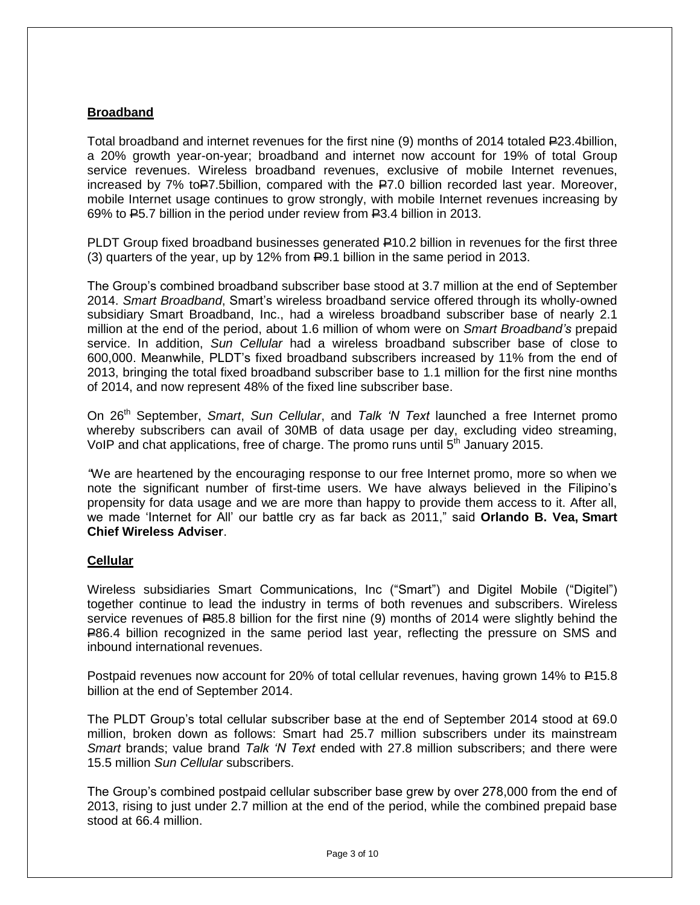## **Broadband**

Total broadband and internet revenues for the first nine (9) months of 2014 totaled P23.4billion, a 20% growth year-on-year; broadband and internet now account for 19% of total Group service revenues. Wireless broadband revenues, exclusive of mobile Internet revenues, increased by 7% to  $\blacktriangleright$  7.5 billion, compared with the  $\blacktriangleright$  2.0 billion recorded last year. Moreover, mobile Internet usage continues to grow strongly, with mobile Internet revenues increasing by 69% to P5.7 billion in the period under review from P3.4 billion in 2013.

PLDT Group fixed broadband businesses generated P10.2 billion in revenues for the first three (3) quarters of the year, up by 12% from P9.1 billion in the same period in 2013.

The Group"s combined broadband subscriber base stood at 3.7 million at the end of September 2014. *Smart Broadband*, Smart"s wireless broadband service offered through its wholly-owned subsidiary Smart Broadband, Inc., had a wireless broadband subscriber base of nearly 2.1 million at the end of the period, about 1.6 million of whom were on *Smart Broadband's* prepaid service. In addition, *Sun Cellular* had a wireless broadband subscriber base of close to 600,000. Meanwhile, PLDT"s fixed broadband subscribers increased by 11% from the end of 2013, bringing the total fixed broadband subscriber base to 1.1 million for the first nine months of 2014, and now represent 48% of the fixed line subscriber base.

On 26th September, *Smart*, *Sun Cellular*, and *Talk 'N Text* launched a free Internet promo whereby subscribers can avail of 30MB of data usage per day, excluding video streaming, VoIP and chat applications, free of charge. The promo runs until 5<sup>th</sup> January 2015.

*"*We are heartened by the encouraging response to our free Internet promo, more so when we note the significant number of first-time users. We have always believed in the Filipino"s propensity for data usage and we are more than happy to provide them access to it. After all, we made "Internet for All" our battle cry as far back as 2011," said **Orlando B. Vea, Smart Chief Wireless Adviser**.

## **Cellular**

Wireless subsidiaries Smart Communications, Inc ("Smart") and Digitel Mobile ("Digitel") together continue to lead the industry in terms of both revenues and subscribers. Wireless service revenues of  $E$ 85.8 billion for the first nine (9) months of 2014 were slightly behind the P86.4 billion recognized in the same period last year, reflecting the pressure on SMS and inbound international revenues.

Postpaid revenues now account for 20% of total cellular revenues, having grown 14% to  $\text{\textsterling}15.8$ billion at the end of September 2014.

The PLDT Group's total cellular subscriber base at the end of September 2014 stood at 69.0 million, broken down as follows: Smart had 25.7 million subscribers under its mainstream *Smart* brands; value brand *Talk 'N Text* ended with 27.8 million subscribers; and there were 15.5 million *Sun Cellular* subscribers.

The Group"s combined postpaid cellular subscriber base grew by over 278,000 from the end of 2013, rising to just under 2.7 million at the end of the period, while the combined prepaid base stood at 66.4 million.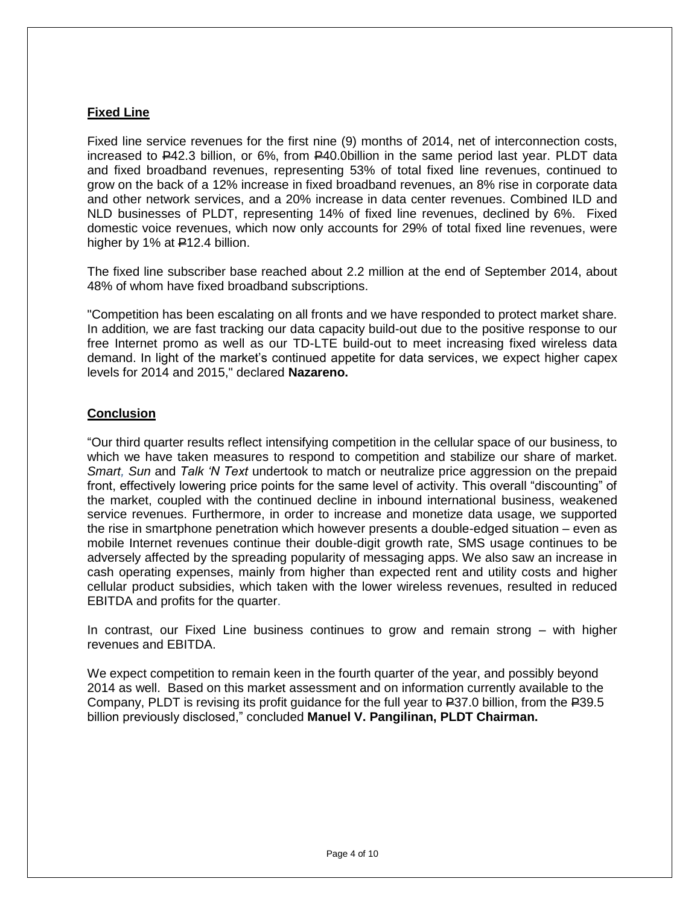## **Fixed Line**

Fixed line service revenues for the first nine (9) months of 2014, net of interconnection costs, increased to P42.3 billion, or 6%, from P40.0billion in the same period last year. PLDT data and fixed broadband revenues, representing 53% of total fixed line revenues, continued to grow on the back of a 12% increase in fixed broadband revenues, an 8% rise in corporate data and other network services, and a 20% increase in data center revenues. Combined ILD and NLD businesses of PLDT, representing 14% of fixed line revenues, declined by 6%. Fixed domestic voice revenues, which now only accounts for 29% of total fixed line revenues, were higher by 1% at  $E$ 12.4 billion.

The fixed line subscriber base reached about 2.2 million at the end of September 2014, about 48% of whom have fixed broadband subscriptions.

"Competition has been escalating on all fronts and we have responded to protect market share. In addition*,* we are fast tracking our data capacity build-out due to the positive response to our free Internet promo as well as our TD-LTE build-out to meet increasing fixed wireless data demand. In light of the market"s continued appetite for data services, we expect higher capex levels for 2014 and 2015," declared **Nazareno.**

## **Conclusion**

"Our third quarter results reflect intensifying competition in the cellular space of our business, to which we have taken measures to respond to competition and stabilize our share of market. *Smart, Sun* and *Talk 'N Text* undertook to match or neutralize price aggression on the prepaid front, effectively lowering price points for the same level of activity. This overall "discounting" of the market, coupled with the continued decline in inbound international business, weakened service revenues. Furthermore, in order to increase and monetize data usage, we supported the rise in smartphone penetration which however presents a double-edged situation – even as mobile Internet revenues continue their double-digit growth rate, SMS usage continues to be adversely affected by the spreading popularity of messaging apps. We also saw an increase in cash operating expenses, mainly from higher than expected rent and utility costs and higher cellular product subsidies, which taken with the lower wireless revenues, resulted in reduced EBITDA and profits for the quarter.

In contrast, our Fixed Line business continues to grow and remain strong – with higher revenues and EBITDA.

We expect competition to remain keen in the fourth quarter of the year, and possibly beyond 2014 as well. Based on this market assessment and on information currently available to the Company, PLDT is revising its profit guidance for the full year to P37.0 billion, from the P39.5 billion previously disclosed," concluded **Manuel V. Pangilinan, PLDT Chairman.**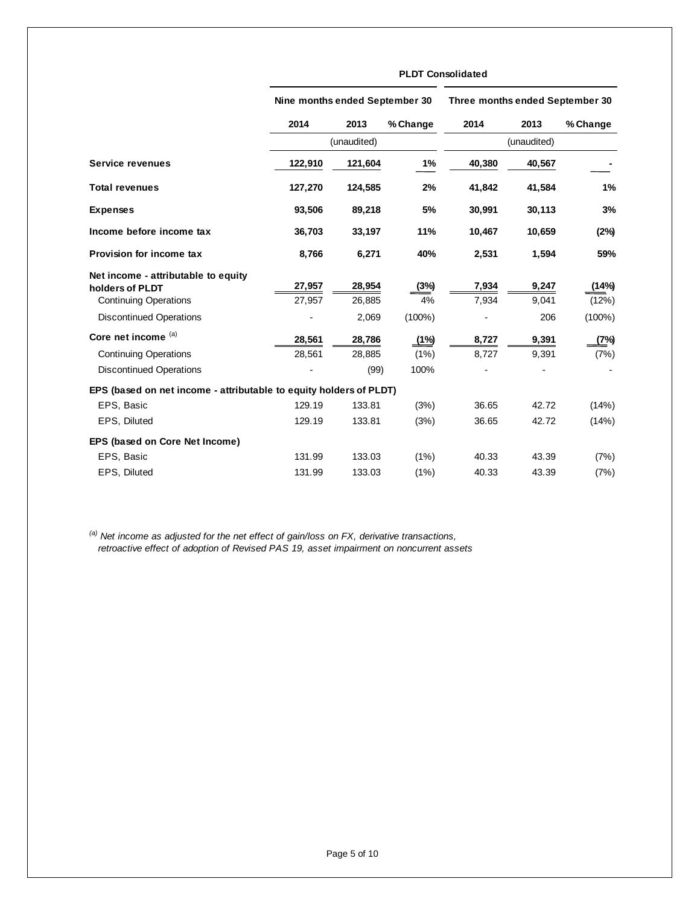|                                                                                        | Nine months ended September 30 |                  |             | Three months ended September 30 |                |                |  |
|----------------------------------------------------------------------------------------|--------------------------------|------------------|-------------|---------------------------------|----------------|----------------|--|
|                                                                                        | 2014                           | 2013             | % Change    | 2014                            | 2013           | % Change       |  |
|                                                                                        | (unaudited)                    |                  | (unaudited) |                                 |                |                |  |
| Service revenues                                                                       | 122,910                        | 121,604          | 1%          | 40,380                          | 40,567         |                |  |
| <b>Total revenues</b>                                                                  | 127,270                        | 124,585          | 2%          | 41,842                          | 41,584         | 1%             |  |
| <b>Expenses</b>                                                                        | 93,506                         | 89,218           | 5%          | 30,991                          | 30,113         | 3%             |  |
| Income before income tax                                                               | 36,703                         | 33,197           | 11%         | 10,467                          | 10,659         | (2%)           |  |
| Provision for income tax                                                               | 8,766                          | 6,271            | 40%         | 2,531                           | 1,594          | 59%            |  |
| Net income - attributable to equity<br>holders of PLDT<br><b>Continuing Operations</b> | 27,957<br>27,957               | 28,954<br>26,885 | (3%)<br>4%  | 7,934<br>7,934                  | 9,247<br>9,041 | (14%)<br>(12%) |  |
| <b>Discontinued Operations</b>                                                         |                                | 2,069            | $(100\%)$   |                                 | 206            | $(100\%)$      |  |
| Core net income (a)                                                                    | 28,561                         | 28,786           | (1%)        | 8,727                           | 9,391          | (7%)           |  |
| <b>Continuing Operations</b>                                                           | 28,561                         | 28,885           | (1%)        | 8.727                           | 9,391          | (7%)           |  |
| <b>Discontinued Operations</b>                                                         |                                | (99)             | 100%        |                                 |                |                |  |
| EPS (based on net income - attributable to equity holders of PLDT)                     |                                |                  |             |                                 |                |                |  |
| EPS, Basic                                                                             | 129.19                         | 133.81           | (3%)        | 36.65                           | 42.72          | (14%)          |  |
| EPS, Diluted                                                                           | 129.19                         | 133.81           | (3%)        | 36.65                           | 42.72          | (14%)          |  |
| EPS (based on Core Net Income)                                                         |                                |                  |             |                                 |                |                |  |
| EPS, Basic                                                                             | 131.99                         | 133.03           | (1%)        | 40.33                           | 43.39          | (7%)           |  |
| EPS, Diluted                                                                           | 131.99                         | 133.03           | (1%)        | 40.33                           | 43.39          | (7%)           |  |

**PLDT Consolidated**

*(a) Net income as adjusted for the net effect of gain/loss on FX, derivative transactions, retroactive effect of adoption of Revised PAS 19, asset impairment on noncurrent assets*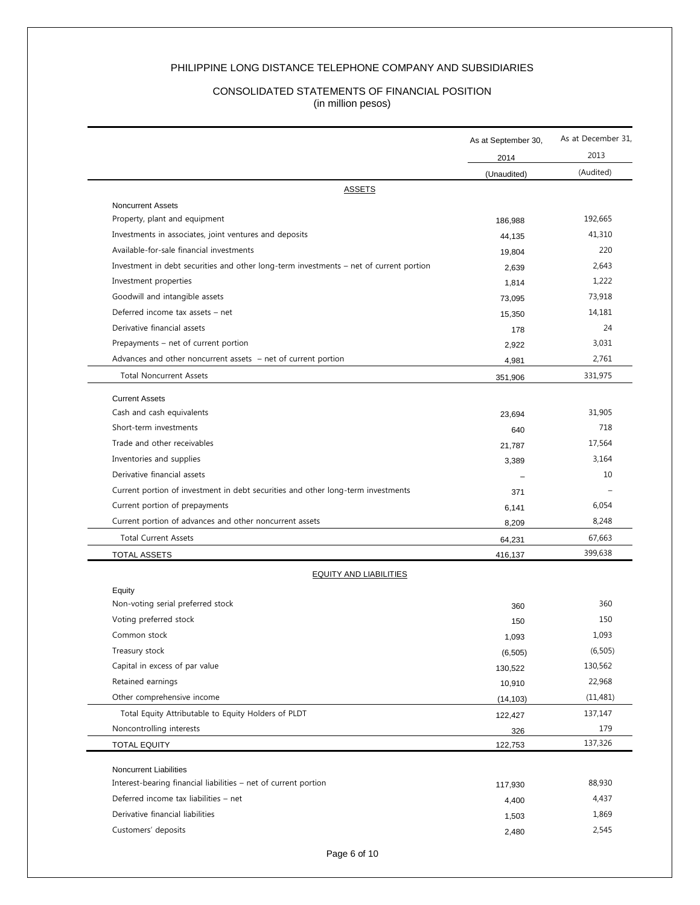### PHILIPPINE LONG DISTANCE TELEPHONE COMPANY AND SUBSIDIARIES

#### CONSOLIDATED STATEMENTS OF FINANCIAL POSITION (in million pesos)

|                                                                                        | As at September 30, | As at December 31,<br>2013 |  |
|----------------------------------------------------------------------------------------|---------------------|----------------------------|--|
|                                                                                        | 2014<br>(Unaudited) | (Audited)                  |  |
| <b>ASSETS</b>                                                                          |                     |                            |  |
| <b>Noncurrent Assets</b>                                                               |                     |                            |  |
| Property, plant and equipment                                                          | 186,988             | 192,665                    |  |
| Investments in associates, joint ventures and deposits                                 | 44,135              | 41,310                     |  |
| Available-for-sale financial investments                                               | 19,804              | 220                        |  |
| Investment in debt securities and other long-term investments – net of current portion | 2,639               | 2,643                      |  |
| Investment properties                                                                  | 1,814               | 1,222                      |  |
| Goodwill and intangible assets                                                         | 73,095              | 73,918                     |  |
| Deferred income tax assets - net                                                       | 15,350              | 14,181                     |  |
| Derivative financial assets                                                            | 178                 | 24                         |  |
| Prepayments – net of current portion                                                   | 2,922               | 3,031                      |  |
| Advances and other noncurrent assets $-$ net of current portion                        | 4,981               | 2,761                      |  |
| <b>Total Noncurrent Assets</b>                                                         | 351,906             | 331,975                    |  |
| <b>Current Assets</b>                                                                  |                     |                            |  |
| Cash and cash equivalents                                                              | 23,694              | 31,905                     |  |
| Short-term investments                                                                 | 640                 | 718                        |  |
| Trade and other receivables                                                            | 21,787              | 17,564                     |  |
| Inventories and supplies                                                               | 3,389               | 3,164                      |  |
| Derivative financial assets                                                            |                     | 10                         |  |
| Current portion of investment in debt securities and other long-term investments       | 371                 |                            |  |
| Current portion of prepayments                                                         | 6,141               | 6,054                      |  |
| Current portion of advances and other noncurrent assets                                | 8,209               | 8,248                      |  |
| <b>Total Current Assets</b>                                                            | 64,231              | 67,663                     |  |
| <b>TOTAL ASSETS</b>                                                                    | 416,137             | 399,638                    |  |
| <b>EQUITY AND LIABILITIES</b>                                                          |                     |                            |  |
| Equity                                                                                 |                     |                            |  |
| Non-voting serial preferred stock                                                      | 360                 | 360                        |  |
| Voting preferred stock                                                                 | 150                 | 150                        |  |
| Common stock                                                                           | 1,093               | 1,093                      |  |
| Treasury stock                                                                         | (6, 505)            | (6, 505)                   |  |
| Capital in excess of par value                                                         | 130,522             | 130,562                    |  |
| Retained earnings                                                                      | 10,910              | 22,968                     |  |
| Other comprehensive income                                                             | (14, 103)           | (11, 481)                  |  |
| Total Equity Attributable to Equity Holders of PLDT                                    | 122,427             | 137,147                    |  |
| Noncontrolling interests                                                               | 326                 | 179                        |  |
| <b>TOTAL EQUITY</b>                                                                    | 122,753             | 137,326                    |  |
| <b>Noncurrent Liabilities</b>                                                          |                     |                            |  |
| Interest-bearing financial liabilities - net of current portion                        | 117,930             | 88,930                     |  |
| Deferred income tax liabilities - net                                                  | 4,400               | 4,437                      |  |
| Derivative financial liabilities                                                       | 1,503               | 1,869                      |  |
|                                                                                        |                     |                            |  |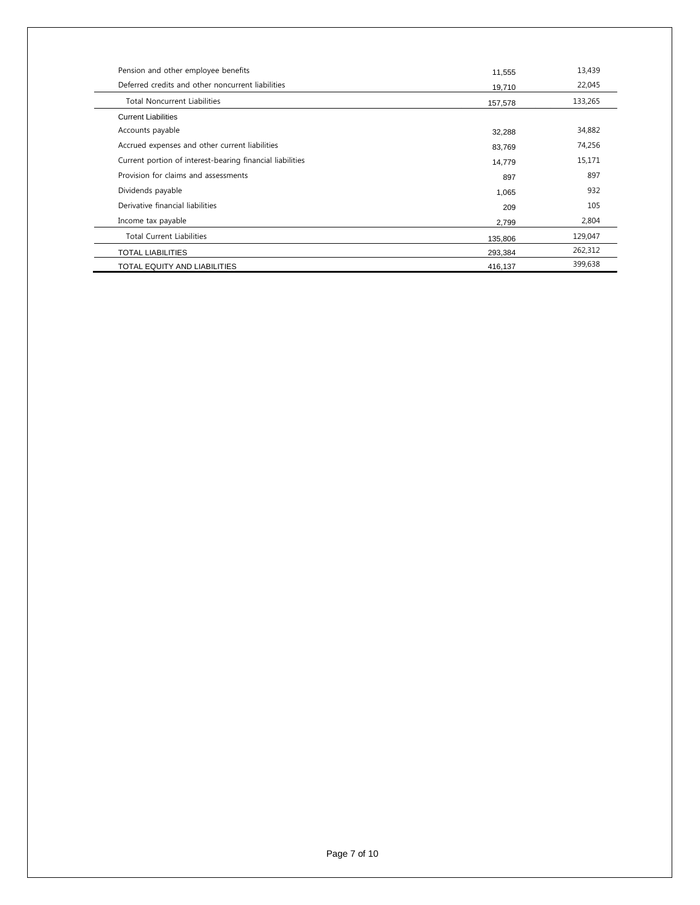| Pension and other employee benefits                       | 11,555  | 13,439  |
|-----------------------------------------------------------|---------|---------|
| Deferred credits and other noncurrent liabilities         | 19,710  | 22,045  |
| <b>Total Noncurrent Liabilities</b>                       | 157,578 | 133,265 |
| <b>Current Liabilities</b>                                |         |         |
| Accounts payable                                          | 32,288  | 34,882  |
| Accrued expenses and other current liabilities            | 83,769  | 74,256  |
| Current portion of interest-bearing financial liabilities | 14,779  | 15,171  |
| Provision for claims and assessments                      | 897     | 897     |
| Dividends payable                                         | 1,065   | 932     |
| Derivative financial liabilities                          | 209     | 105     |
| Income tax payable                                        | 2,799   | 2,804   |
| <b>Total Current Liabilities</b>                          | 135,806 | 129,047 |
| <b>TOTAL LIABILITIES</b>                                  | 293,384 | 262,312 |
| TOTAL EQUITY AND LIABILITIES                              | 416,137 | 399,638 |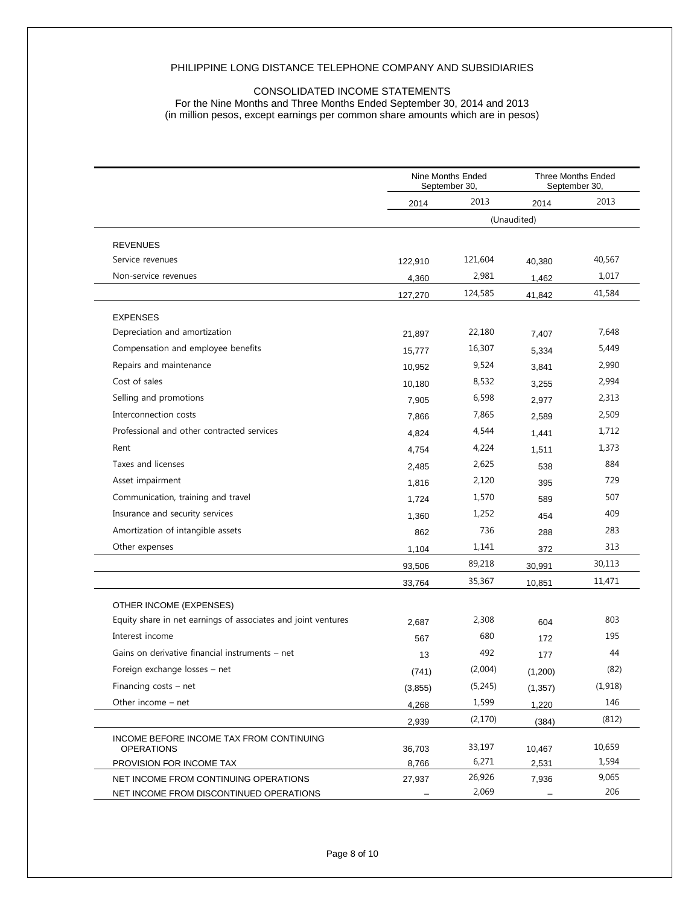#### PHILIPPINE LONG DISTANCE TELEPHONE COMPANY AND SUBSIDIARIES

### CONSOLIDATED INCOME STATEMENTS

For the Nine Months and Three Months Ended September 30, 2014 and 2013 (in million pesos, except earnings per common share amounts which are in pesos)

|                                                               | Nine Months Ended<br>September 30, |         |             | <b>Three Months Ended</b><br>September 30, |
|---------------------------------------------------------------|------------------------------------|---------|-------------|--------------------------------------------|
|                                                               | 2014                               | 2013    | 2014        | 2013                                       |
|                                                               |                                    |         | (Unaudited) |                                            |
| <b>REVENUES</b>                                               |                                    |         |             |                                            |
| Service revenues                                              | 122,910                            | 121,604 | 40,380      | 40,567                                     |
| Non-service revenues                                          | 4,360                              | 2,981   | 1,462       | 1,017                                      |
|                                                               | 127,270                            | 124,585 | 41,842      | 41,584                                     |
| <b>EXPENSES</b>                                               |                                    |         |             |                                            |
| Depreciation and amortization                                 | 21,897                             | 22,180  | 7,407       | 7,648                                      |
| Compensation and employee benefits                            | 15,777                             | 16,307  | 5,334       | 5,449                                      |
| Repairs and maintenance                                       | 10,952                             | 9,524   | 3,841       | 2,990                                      |
| Cost of sales                                                 | 10,180                             | 8,532   | 3,255       | 2,994                                      |
| Selling and promotions                                        | 7,905                              | 6,598   | 2,977       | 2,313                                      |
| Interconnection costs                                         | 7,866                              | 7,865   | 2,589       | 2,509                                      |
| Professional and other contracted services                    | 4,824                              | 4,544   | 1,441       | 1,712                                      |
| Rent                                                          | 4,754                              | 4,224   | 1,511       | 1,373                                      |
| Taxes and licenses                                            | 2,485                              | 2,625   | 538         | 884                                        |
| Asset impairment                                              | 1,816                              | 2,120   | 395         | 729                                        |
| Communication, training and travel                            | 1,724                              | 1,570   | 589         | 507                                        |
| Insurance and security services                               | 1,360                              | 1,252   | 454         | 409                                        |
| Amortization of intangible assets                             | 862                                | 736     | 288         | 283                                        |
| Other expenses                                                | 1,104                              | 1,141   | 372         | 313                                        |
|                                                               | 93,506                             | 89,218  | 30,991      | 30,113                                     |
|                                                               | 33,764                             | 35,367  | 10,851      | 11,471                                     |
| OTHER INCOME (EXPENSES)                                       |                                    |         |             |                                            |
| Equity share in net earnings of associates and joint ventures | 2,687                              | 2,308   | 604         | 803                                        |
| Interest income                                               | 567                                | 680     | 172         | 195                                        |
| Gains on derivative financial instruments - net               | 13                                 | 492     | 177         | 44                                         |
| Foreign exchange losses - net                                 | (741)                              | (2,004) | (1,200)     | (82)                                       |
| Financing costs - net                                         | (3,855)                            | (5,245) | (1, 357)    | (1, 918)                                   |
| Other income - net                                            | 4,268                              | 1,599   | 1,220       | 146                                        |
|                                                               | 2,939                              | (2,170) | (384)       | (812)                                      |
| INCOME BEFORE INCOME TAX FROM CONTINUING<br><b>OPERATIONS</b> | 36,703                             | 33,197  | 10,467      | 10,659                                     |
| PROVISION FOR INCOME TAX                                      | 8,766                              | 6,271   | 2,531       | 1,594                                      |
| NET INCOME FROM CONTINUING OPERATIONS                         | 27,937                             | 26,926  | 7,936       | 9,065                                      |
| NET INCOME FROM DISCONTINUED OPERATIONS                       |                                    | 2,069   |             | 206                                        |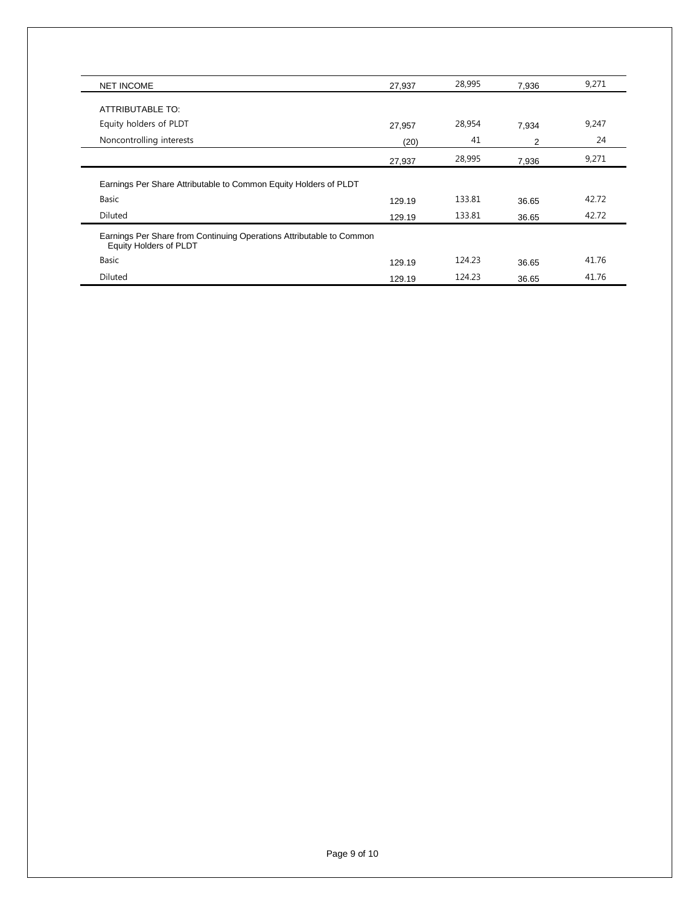| <b>NET INCOME</b>                                                             | 27,937 | 28,995 | 7,936 | 9,271 |
|-------------------------------------------------------------------------------|--------|--------|-------|-------|
| ATTRIBUTABLE TO:                                                              |        |        |       |       |
| Equity holders of PLDT                                                        | 27,957 | 28,954 | 7,934 | 9,247 |
| Noncontrolling interests                                                      | (20)   | 41     | 2     | 24    |
|                                                                               | 27,937 | 28,995 | 7,936 | 9,271 |
| Earnings Per Share Attributable to Common Equity Holders of PLDT              |        |        |       |       |
| Basic                                                                         | 129.19 | 133.81 | 36.65 | 42.72 |
| Diluted                                                                       | 129.19 | 133.81 | 36.65 | 42.72 |
| Equity Holders of PLDT                                                        |        |        |       |       |
| Earnings Per Share from Continuing Operations Attributable to Common<br>Basic | 129.19 | 124.23 | 36.65 | 41.76 |